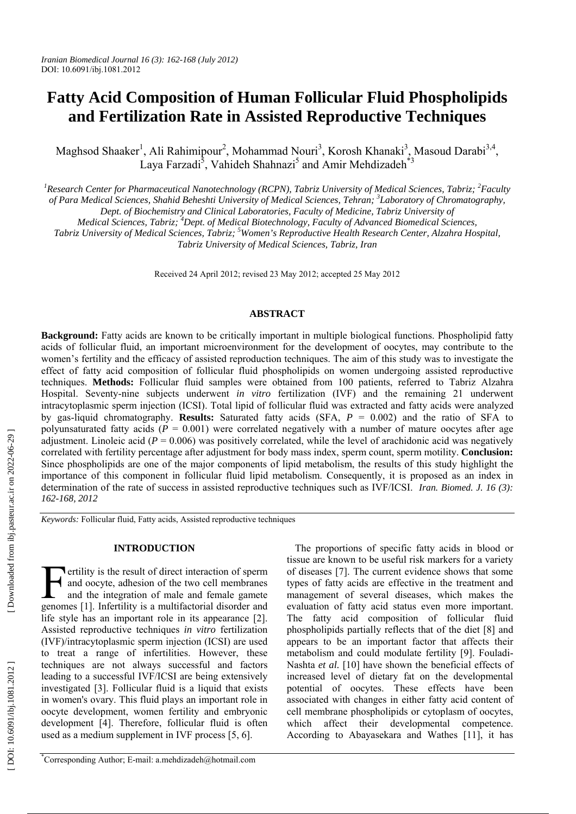# **Fatty Acid Composition of Human Follicular Fluid Phospholipids and Fertilization Rate in Assisted Reproductive Techniques**

Maghsod Shaaker<sup>1</sup>, Ali Rahimipour<sup>2</sup>, Mohammad Nouri<sup>3</sup>, Korosh Khanaki<sup>3</sup>, Masoud Darabi<sup>3,4</sup>, Laya Farzadi<sup>5</sup>, Vahideh Shahnazi<sup>5</sup> and Amir Mehdizadeh<sup>\*3</sup>

<sup>1</sup> Research Center for Pharmaceutical Nanotechnology (RCPN), Tabriz University of Medical Sciences, Tabriz; <sup>2</sup> Faculty *of Para Medical Sciences, Shahid Beheshti University of Medical Sciences, Tehran; 3 Laboratory of Chromatography, Dept. of Biochemistry and Clinical Laboratories, Faculty of Medicine, Tabriz University of* 

*Medical Sciences, Tabriz; 4 Dept. of Medical Biotechnology, Faculty of Advanced Biomedical Sciences,* 

*Tabriz University of Medical Sciences, Tabriz; 5 Women's Reproductive Health Research Center, Alzahra Hospital, Tabriz University of Medical Sciences, Tabriz, Iran* 

Received 24 April 2012; revised 23 May 2012; accepted 25 May 2012

# **ABSTRACT**

**Background:** Fatty acids are known to be critically important in multiple biological functions. Phospholipid fatty acids of follicular fluid, an important microenvironment for the development of oocytes, may contribute to the women's fertility and the efficacy of assisted reproduction techniques. The aim of this study was to investigate the effect of fatty acid composition of follicular fluid phospholipids on women undergoing assisted reproductive techniques. **Methods:** Follicular fluid samples were obtained from 100 patients, referred to Tabriz Alzahra Hospital. Seventy-nine subjects underwent *in vitro* fertilization (IVF) and the remaining 21 underwent intracytoplasmic sperm injection (ICSI). Total lipid of follicular fluid was extracted and fatty acids were analyzed by gas-liquid chromatography. **Results:** Saturated fatty acids (SFA, *P* = 0.002) and the ratio of SFA to polyunsaturated fatty acids  $(P = 0.001)$  were correlated negatively with a number of mature oocytes after age adjustment. Linoleic acid  $(P = 0.006)$  was positively correlated, while the level of arachidonic acid was negatively correlated with fertility percentage after adjustment for body mass index, sperm count, sperm motility. **Conclusion:** Since phospholipids are one of the major components of lipid metabolism, the results of this study highlight the importance of this component in follicular fluid lipid metabolism. Consequently, it is proposed as an index in determination of the rate of success in assisted reproductive techniques such as IVF/ICSI. *Iran. Biomed. J. 16 (3): 162-168, 2012*

*Keywords:* Follicular fluid, Fatty acids, Assisted reproductive techniques

### **INTRODUCTION**

DOI: 10.6091/ibj.1081.2012<br> **Fatty Acid Co**<br> **Cand Fertili**<br>
Maghsod Shaaker<sup>1</sup><br>
11<br> *Mesearch Center for Pha of Para Medical Science<br>
<i>Medical Science*<br> *Medical Science*<br> *Medical Science<br>
<i>Medical Science*<br> *Tabriz Univ* **Tertility is the result of direct interaction of sperm** and oocyte, adhesion of the two cell membranes and the integration of male and female gamete genomes [1]. Infertility is a multifactorial disorder and life style has an important role in its appearance [2]. Assisted reproductive techniques *in vitro* fertilization (IVF)/intracytoplasmic sperm injection (ICSI) are used to treat a range of infertilities. However, these techniques are not always successful and factors leading to a successful IVF/ICSI are being extensively investigated [3]. Follicular fluid is a liquid that exists in women's ovary. This fluid plays an important role in oocyte development, women fertility and embryonic development [4]. Therefore, follicular fluid is often used as a medium supplement in IVF process [5, 6]. F and<br>
enomes

The proportions of specific fatty acids in blood or tissue are known to be useful risk markers for a variety of diseases [7]. The current evidence shows that some types of fatty acids are effective in the treatment and management of several diseases, which makes the evaluation of fatty acid status even more important. The fatty acid composition of follicular fluid phospholipids partially reflects that of the diet [8] and appears to be an important factor that affects their metabolism and could modulate fertility [9]. Fouladi-Nashta *et al.* [10] have shown the beneficial effects of increased level of dietary fat on the developmental potential of oocytes. These effects have been associated with changes in either fatty acid content of cell membrane phospholipids or cytoplasm of oocytes, which affect their developmental competence. According to Abayasekara and Wathes [11], it has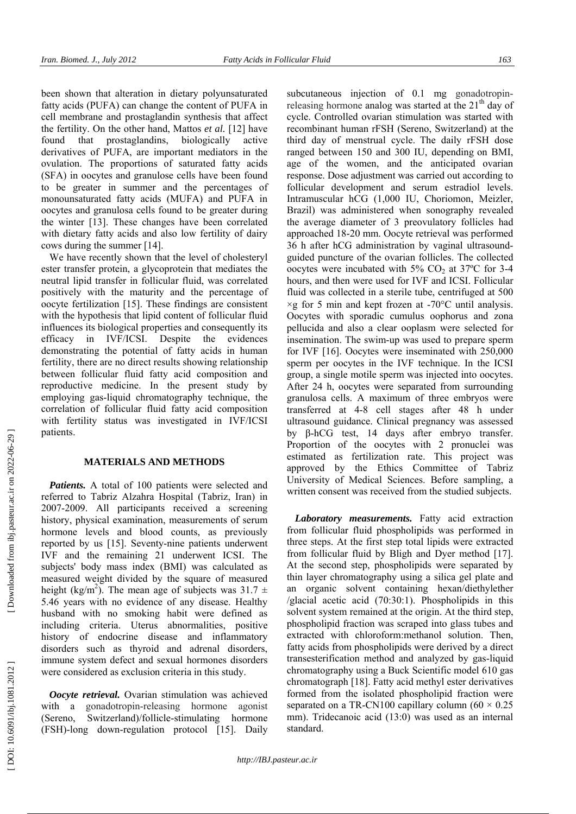been shown that alteration in dietary polyunsaturated fatty acids (PUFA) can change the content of PUFA in cell membrane and prostaglandin synthesis that affect the fertility. On the other hand, Mattos *et al.* [12] have found that prostaglandins, biologically active derivatives of PUFA, are important mediators in the ovulation. The proportions of saturated fatty acids (SFA) in oocytes and granulose cells have been found to be greater in summer and the percentages of monounsaturated fatty acids (MUFA) and PUFA in oocytes and granulosa cells found to be greater during the winter [13]. These changes have been correlated with dietary fatty acids and also low fertility of dairy cows during the summer [14].

We have recently shown that the level of cholesteryl ester transfer protein, a glycoprotein that mediates the neutral lipid transfer in follicular fluid, was correlated positively with the maturity and the percentage of oocyte fertilization [15]. These findings are consistent with the hypothesis that lipid content of follicular fluid influences its biological properties and consequently its efficacy in IVF/ICSI. Despite the evidences demonstrating the potential of fatty acids in human fertility, there are no direct results showing relationship between follicular fluid fatty acid composition and reproductive medicine. In the present study by employing gas-liquid chromatography technique, the correlation of follicular fluid fatty acid composition with fertility status was investigated in IVF/ICSI patients.

# **MATERIALS AND METHODS**

*Patients.* A total of 100 patients were selected and referred to Tabriz Alzahra Hospital (Tabriz, Iran) in 2007-2009. All participants received a screening history, physical examination, measurements of serum hormone levels and blood counts, as previously reported by us [15]. Seventy-nine patients underwent IVF and the remaining 21 underwent ICSI. The subjects' body mass index (BMI) was calculated as measured weight divided by the square of measured height (kg/m<sup>2</sup>). The mean age of subjects was 31.7  $\pm$ 5.46 years with no evidence of any disease. Healthy husband with no smoking habit were defined as including criteria. Uterus abnormalities, positive history of endocrine disease and inflammatory disorders such as thyroid and adrenal disorders, immune system defect and sexual hormones disorders were considered as exclusion criteria in this study.

*Oocyte retrieval.* Ovarian stimulation was achieved with a gonadotropin-releasing hormone agonist (Sereno, Switzerland)/follicle-stimulating hormone (FSH)-long down-regulation protocol [15]. Daily

subcutaneous injection of 0.1 mg gonadotropinreleasing hormone analog was started at the  $21<sup>th</sup>$  day of cycle. Controlled ovarian stimulation was started with recombinant human rFSH (Sereno, Switzerland) at the third day of menstrual cycle. The daily rFSH dose ranged between 150 and 300 IU, depending on BMI, age of the women, and the anticipated ovarian response. Dose adjustment was carried out according to follicular development and serum estradiol levels. Intramuscular hCG (1,000 IU, Choriomon, Meizler, Brazil) was administered when sonography revealed the average diameter of 3 preovulatory follicles had approached 18-20 mm. Oocyte retrieval was performed 36 h after hCG administration by vaginal ultrasoundguided puncture of the ovarian follicles. The collected oocytes were incubated with  $5\%$  CO<sub>2</sub> at  $37^{\circ}$ C for 3-4 hours, and then were used for IVF and ICSI. Follicular fluid was collected in a sterile tube, centrifuged at 500  $\times$ g for 5 min and kept frozen at -70 $\degree$ C until analysis. Oocytes with sporadic cumulus oophorus and zona pellucida and also a clear ooplasm were selected for insemination. The swim-up was used to prepare sperm for IVF [16]. Oocytes were inseminated with 250,000 sperm per oocytes in the IVF technique. In the ICSI group, a single motile sperm was injected into oocytes. After 24 h, oocytes were separated from surrounding granulosa cells. A maximum of three embryos were transferred at 4-8 cell stages after 48 h under ultrasound guidance. Clinical pregnancy was assessed by β-hCG test, 14 days after embryo transfer. Proportion of the oocytes with 2 pronuclei was estimated as fertilization rate. This project was approved by the Ethics Committee of Tabriz University of Medical Sciences. Before sampling, a written consent was received from the studied subjects.

*Laboratory measurements.* Fatty acid extraction from follicular fluid phospholipids was performed in three steps. At the first step total lipids were extracted from follicular fluid by Bligh and Dyer method [17]. At the second step, phospholipids were separated by thin layer chromatography using a silica gel plate and an organic solvent containing hexan/diethylether /glacial acetic acid (70:30:1). Phospholipids in this solvent system remained at the origin. At the third step, phospholipid fraction was scraped into glass tubes and extracted with chloroform:methanol solution. Then, fatty acids from phospholipids were derived by a direct transesterification method and analyzed by gas-liquid chromatography using a Buck Scientific model 610 gas chromatograph [18]. Fatty acid methyl ester derivatives formed from the isolated phospholipid fraction were separated on a TR-CN100 capillary column ( $60 \times 0.25$ ) mm). Tridecanoic acid (13:0) was used as an internal standard.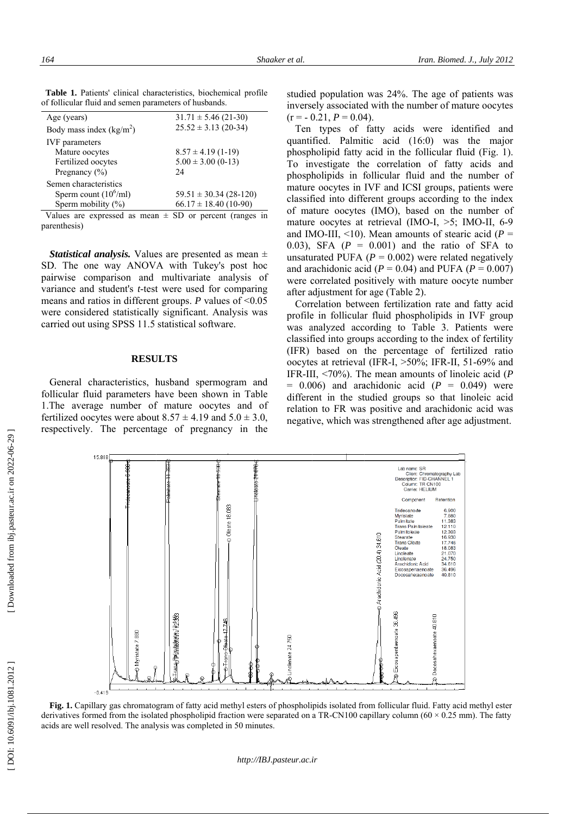| 164                                                                                                                                                                                                                                                                                | Sha                        |
|------------------------------------------------------------------------------------------------------------------------------------------------------------------------------------------------------------------------------------------------------------------------------------|----------------------------|
|                                                                                                                                                                                                                                                                                    |                            |
| Table 1. Patients' clinical characteristics, biochemical profile<br>of follicular fluid and semen parameters of husbands.                                                                                                                                                          |                            |
| Age (years)                                                                                                                                                                                                                                                                        | $31.71 \pm 5.46$ (21-30)   |
| Body mass index $(kg/m2)$                                                                                                                                                                                                                                                          | $25.52 \pm 3.13$ (20-34)   |
| <b>IVF</b> parameters<br>Mature oocytes                                                                                                                                                                                                                                            | $8.57 \pm 4.19(1-19)$      |
| Fertilized oocytes                                                                                                                                                                                                                                                                 | $5.00 \pm 3.00$ (0-13)     |
| Pregnancy (%)                                                                                                                                                                                                                                                                      | 24                         |
| Semen characteristics<br>Sperm count $(10^6$ /ml)                                                                                                                                                                                                                                  | $59.51 \pm 30.34 (28-120)$ |
| Sperm mobility (%)                                                                                                                                                                                                                                                                 | $66.17 \pm 18.40$ (10-90)  |
| Values are expressed as mean $\pm$ SD or percent (ranges in                                                                                                                                                                                                                        |                            |
| parenthesis)                                                                                                                                                                                                                                                                       |                            |
| <i>Statistical analysis.</i> Values are presented as mean $\pm$                                                                                                                                                                                                                    |                            |
| SD. The one way ANOVA with Tukey's post hoc                                                                                                                                                                                                                                        |                            |
| pairwise comparison and multivariate analysis of                                                                                                                                                                                                                                   |                            |
| variance and student's <i>t</i> -test were used for comparing                                                                                                                                                                                                                      |                            |
| means and ratios in different groups. $P$ values of <0.05<br>were considered statistically significant. Analysis was                                                                                                                                                               |                            |
| carried out using SPSS 11.5 statistical software.                                                                                                                                                                                                                                  |                            |
|                                                                                                                                                                                                                                                                                    |                            |
| <b>RESULTS</b>                                                                                                                                                                                                                                                                     |                            |
| General characteristics, husband spermogram and<br>follicular fluid parameters have been shown in Table<br>1. The average number of mature oocytes and of<br>fertilized oocytes were about $8.57 \pm 4.19$ and $5.0 \pm 3.0$ ,<br>respectively. The percentage of pregnancy in the |                            |
| 15.888                                                                                                                                                                                                                                                                             |                            |
|                                                                                                                                                                                                                                                                                    |                            |
|                                                                                                                                                                                                                                                                                    |                            |
|                                                                                                                                                                                                                                                                                    |                            |
|                                                                                                                                                                                                                                                                                    |                            |
|                                                                                                                                                                                                                                                                                    | $\Theta$ Oleate 18.083     |
|                                                                                                                                                                                                                                                                                    |                            |
|                                                                                                                                                                                                                                                                                    |                            |
|                                                                                                                                                                                                                                                                                    |                            |
|                                                                                                                                                                                                                                                                                    |                            |
|                                                                                                                                                                                                                                                                                    |                            |
|                                                                                                                                                                                                                                                                                    |                            |
|                                                                                                                                                                                                                                                                                    |                            |
|                                                                                                                                                                                                                                                                                    |                            |
| → Myristate 7.880                                                                                                                                                                                                                                                                  |                            |
|                                                                                                                                                                                                                                                                                    |                            |
| $-0.419$                                                                                                                                                                                                                                                                           |                            |
| Fig. 1. Capillary gas chromatogram of fatty acid methyl esters                                                                                                                                                                                                                     |                            |
| derivatives formed from the isolated phospholipid fraction were s<br>acids are well resolved. The analysis was completed in 50 minute                                                                                                                                              |                            |

Table 1. Patients' clinical characteristics, biochemical profile of follicular fluid and semen parameters of husbands.

#### **RES U ULTS**

studied population was 24%. The age of pa inversely associated with the number of matu  $(r = -0.21, P = 0.04).$ 

Ten types of fatty acids were ide n quantified. Palmitic acid (16:0) was t phospholipid fatty acid in the follicular flui phospholipid fatty acid in the follicular flu<br>To investigate the correlation of fatty<br>phospholipids in follicular fluid and the phospholipids in follicular fluid and the n mature oocytes in IVF and ICSI groups, pat mature oocytes in I<br>classified into diffe of mature oocytes (IMO), based on the n mature oocytes at retrieval (IMO-I,  $>5$ ; IM and IMO-III,  $<10$ ). Mean amounts of stearic and IMO-III, <10). Mean amounts of stearic 0.03), SFA  $(P = 0.001)$  and the ratio o unsaturated PUFA  $(P = 0.002)$  were related negatively and arachidonic acid ( $P = 0.04$ ) and PUFA ( $P = 0.007$ )<br>were correlated positively with mature oocyte number<br>after adjustment for age (Table 2).<br>Correlation between fertilization rate and fatty acid were correlated positively with mature oocy were correlated positively with after adjustment for age (Table 2) ferent groups according to<br>
es (IMO), based on the 1 *Iran. Biomed. J., July 2012*<br>
The age of patients was<br>
umber of mature oocytes<br>
were identified and<br>
16:0) was the major<br>
follicular fluid (Fig. 1).<br>
In of fatty acids and<br>
id and the number of<br>
SI groups, patients were<br> acids and<br>number of<br>tients were<br>o the index<br>number of<br>MO-II, 6-9<br>ic acid (*P* =<br>of SFA to

ter adjustment for age (Table 2).<br>Correlation between fertilization rate and profile in follicular fluid phospholipids in<br>was analyzed according to Table 3. Pat was analyzed according to T classified into groups according to the index profile in follicular fluid phospholipids in IVF group<br>was analyzed according to Table 3. Patients were<br>classified into groups according to the index of fertility<br>(IFR) based on the percentage of fertilized ratio oocytes at retrieval (IFR-I, >50%; IFR-II, 51-69% and IFR-III,  $\langle 70\% \rangle$ . The mean amounts of linoleic acid (*P*  $= 0.006$ ) and arachidonic acid ( $P = 0.049$ ) were different in the studied groups so that linoleic acid relation to FR was positive and arachidonic acid was negative, which was strengthened after age adjustment. different in the studied groups so that lin relation to FR was positive and arachidonic negative, which was strengthened after age a



Fig. 1. Capillary gas chromatogram of fatty acid methyl esters of phospholipids isolated from follicular fl Fig. 1. Capillary gas chromatogram of fatty acid methyl esters of phospholipids isolated from follicular fluid. Fatty acid methyl ester derivatives formed from the isolated phospholipid fraction were separated on a TR-CN1 acids are well resolved. The analysis was compl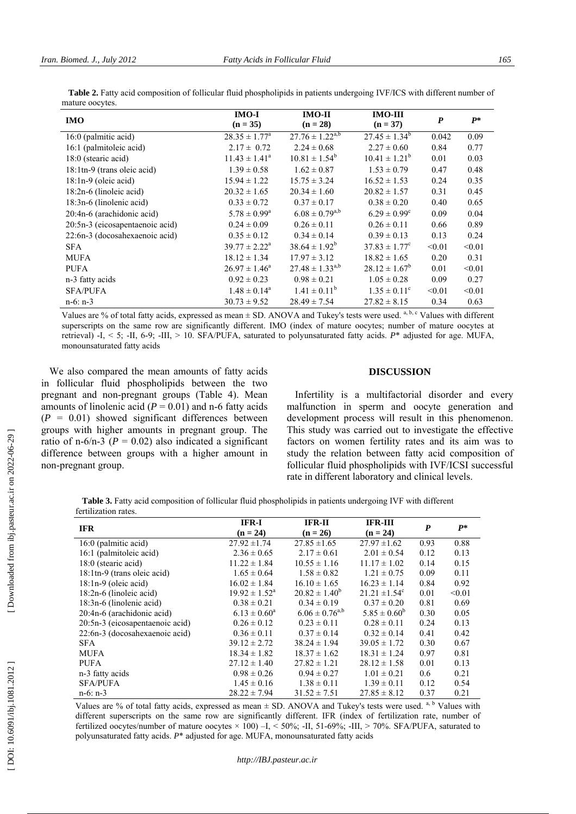| <b>IMO</b>                      | $IMO-I$<br>$(n = 35)$       | $IMO-II$<br>$(n = 28)$ | <b>IMO-III</b><br>$(n = 37)$ | $\boldsymbol{P}$ | $P^*$  |
|---------------------------------|-----------------------------|------------------------|------------------------------|------------------|--------|
| 16:0 (palmitic acid)            | $28.35 \pm 1.77^{\circ}$    | $27.76 \pm 1.22^{a,b}$ | $27.45 \pm 1.34^b$           | 0.042            | 0.09   |
| 16:1 (palmitoleic acid)         | $2.17 \pm 0.72$             | $2.24 \pm 0.68$        | $2.27 \pm 0.60$              | 0.84             | 0.77   |
| 18:0 (stearic acid)             | $11.43 \pm 1.41^{\circ}$    | $10.81 \pm 1.54^b$     | $10.41 \pm 1.21^b$           | 0.01             | 0.03   |
| 18:1tn-9 (trans oleic acid)     | $1.39 \pm 0.58$             | $1.62 \pm 0.87$        | $1.53 \pm 0.79$              | 0.47             | 0.48   |
| $18:1n-9$ (oleic acid)          | $15.94 \pm 1.22$            | $15.75 \pm 3.24$       | $16.52 \pm 1.53$             | 0.24             | 0.35   |
| 18:2n-6 (linoleic acid)         | $20.32 \pm 1.65$            | $20.34 \pm 1.60$       | $20.82 \pm 1.57$             | 0.31             | 0.45   |
| 18:3n-6 (linolenic acid)        | $0.33 \pm 0.72$             | $0.37 \pm 0.17$        | $0.38 \pm 0.20$              | 0.40             | 0.65   |
| 20:4n-6 (arachidonic acid)      | $5.78 \pm 0.99^{\rm a}$     | $6.08 \pm 0.79^{a,b}$  | $6.29 \pm 0.99^c$            | 0.09             | 0.04   |
| 20:5n-3 (eicosapentaenoic acid) | $0.24 \pm 0.09$             | $0.26 \pm 0.11$        | $0.26 \pm 0.11$              | 0.66             | 0.89   |
| 22:6n-3 (docosahexaenoic acid)  | $0.35 \pm 0.12$             | $0.34 \pm 0.14$        | $0.39 \pm 0.13$              | 0.13             | 0.24   |
| <b>SFA</b>                      | $39.77 \pm 2.22^{\text{a}}$ | $38.64 \pm 1.92^b$     | $37.83 \pm 1.77^{\circ}$     | < 0.01           | < 0.01 |
| <b>MUFA</b>                     | $18.12 \pm 1.34$            | $17.97 \pm 3.12$       | $18.82 \pm 1.65$             | 0.20             | 0.31   |
| <b>PUFA</b>                     | $26.97 \pm 1.46^a$          | $27.48 \pm 1.33^{a,b}$ | $28.12 \pm 1.67^b$           | 0.01             | < 0.01 |
| n-3 fatty acids                 | $0.92 \pm 0.23$             | $0.98 \pm 0.21$        | $1.05 \pm 0.28$              | 0.09             | 0.27   |
| <b>SFA/PUFA</b>                 | $1.48 \pm 0.14^a$           | $1.41 \pm 0.11^b$      | $1.35 \pm 0.11^c$            | < 0.01           | < 0.01 |
| $n-6$ : $n-3$                   | $30.73 \pm 9.52$            | $28.49 \pm 7.54$       | $27.82 \pm 8.15$             | 0.34             | 0.63   |

 **Table 2.** Fatty acid composition of follicular fluid phospholipids in patients undergoing IVF/ICS with different number of mature oocytes.

Values are % of total fatty acids, expressed as mean  $\pm$  SD. ANOVA and Tukey's tests were used. <sup>a, b, c</sup> Values with different superscripts on the same row are significantly different. IMO (index of mature oocytes; number of mature oocytes at retrieval) -I, < 5; -II, 6-9; -III, > 10. SFA/PUFA, saturated to polyunsaturated fatty acids. P\* adjusted for age. MUFA, monounsaturated fatty acids

We also compared the mean amounts of fatty acids in follicular fluid phospholipids between the two pregnant and non-pregnant groups (Table 4). Mean amounts of linolenic acid ( $P = 0.01$ ) and n-6 fatty acids ( $P = 0.01$ ) showed significant differences between groups with higher amounts in pregnant group. The ratio of n-6/n-3 ( $P = 0.02$ ) also indicated a significant difference between groups with a higher amount in non-pregnant group.

## **DISCUSSION**

Infertility is a multifactorial disorder and every malfunction in sperm and oocyte generation and development process will result in this phenomenon. This study was carried out to investigate the effective factors on women fertility rates and its aim was to study the relation between fatty acid composition of follicular fluid phospholipids with IVF/ICSI successful rate in different laboratory and clinical levels.

 **Table 3.** Fatty acid composition of follicular fluid phospholipids in patients undergoing IVF with different fertilization rates.

| <b>IFR</b>                      | IFR-I                    | <b>IFR-II</b>         | <b>IFR-III</b>                | P    | $P^*$  |
|---------------------------------|--------------------------|-----------------------|-------------------------------|------|--------|
|                                 | $(n = 24)$               | $(n = 26)$            | $(n = 24)$                    |      |        |
| 16:0 (palmitic acid)            | $27.92 \pm 1.74$         | $27.85 \pm 1.65$      | $27.97 \pm 1.62$              | 0.93 | 0.88   |
| 16:1 (palmitoleic acid)         | $2.36 \pm 0.65$          | $2.17 \pm 0.61$       | $2.01 \pm 0.54$               | 0.12 | 0.13   |
| 18:0 (stearic acid)             | $11.22 \pm 1.84$         | $10.55 \pm 1.16$      | $11.17 \pm 1.02$              | 0.14 | 0.15   |
| 18:1tn-9 (trans oleic acid)     | $1.65 \pm 0.64$          | $1.58 \pm 0.82$       | $1.21 \pm 0.75$               | 0.09 | 0.11   |
| $18:1n-9$ (oleic acid)          | $16.02 \pm 1.84$         | $16.10 \pm 1.65$      | $16.23 \pm 1.14$              | 0.84 | 0.92   |
| $18:2n-6$ (linoleic acid)       | $19.92 \pm 1.52^{\circ}$ | $20.82 \pm 1.40^b$    | $21.21 \pm 1.54$ <sup>c</sup> | 0.01 | < 0.01 |
| 18:3n-6 (linolenic acid)        | $0.38 \pm 0.21$          | $0.34 \pm 0.19$       | $0.37 \pm 0.20$               | 0.81 | 0.69   |
| 20:4n-6 (arachidonic acid)      | $6.13 \pm 0.60^a$        | $6.06 \pm 0.76^{a,b}$ | $5.85 \pm 0.60^b$             | 0.30 | 0.05   |
| 20:5n-3 (eicosapentaenoic acid) | $0.26 \pm 0.12$          | $0.23 \pm 0.11$       | $0.28 \pm 0.11$               | 0.24 | 0.13   |
| 22:6n-3 (docosahexaenoic acid)  | $0.36 \pm 0.11$          | $0.37 \pm 0.14$       | $0.32 \pm 0.14$               | 0.41 | 0.42   |
| <b>SFA</b>                      | $39.12 \pm 2.72$         | $38.24 \pm 1.94$      | $39.05 \pm 1.72$              | 0.30 | 0.67   |
| MUFA                            | $18.34 \pm 1.82$         | $18.37 \pm 1.62$      | $18.31 \pm 1.24$              | 0.97 | 0.81   |
| <b>PUFA</b>                     | $27.12 \pm 1.40$         | $27.82 \pm 1.21$      | $28.12 \pm 1.58$              | 0.01 | 0.13   |
| n-3 fatty acids                 | $0.98 \pm 0.26$          | $0.94 \pm 0.27$       | $1.01 \pm 0.21$               | 0.6  | 0.21   |
| <b>SFA/PUFA</b>                 | $1.45 \pm 0.16$          | $1.38 \pm 0.11$       | $1.39 \pm 0.11$               | 0.12 | 0.54   |
| $n-6$ : $n-3$                   | $28.22 \pm 7.94$         | $31.52 \pm 7.51$      | $27.85 \pm 8.12$              | 0.37 | 0.21   |

Values are % of total fatty acids, expressed as mean  $\pm$  SD. ANOVA and Tukey's tests were used.<sup>a, b</sup> Values with different superscripts on the same row are significantly different. IFR (index of fertilization rate, number of fertilized oocytes/number of mature oocytes × 100) –I, < 50%; -II, 51-69%; -III, > 70%. SFA/PUFA, saturated to polyunsaturated fatty acids. *P*\* adjusted for age. MUFA, monounsaturated fatty acids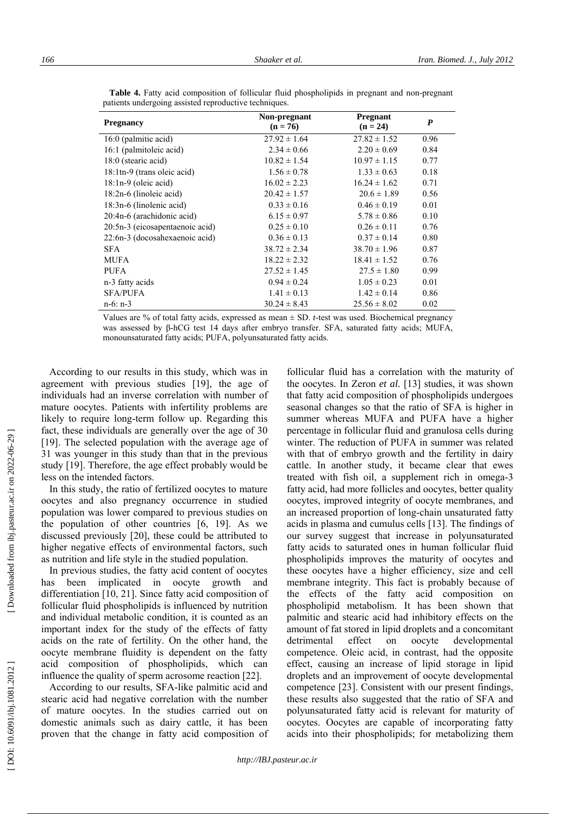| <b>Pregnancy</b>                        | Non-pregnant<br>$(n = 76)$ | <b>Pregnant</b><br>$(n = 24)$ | $\boldsymbol{P}$ |
|-----------------------------------------|----------------------------|-------------------------------|------------------|
| 16:0 (palmitic acid)                    | $27.92 \pm 1.64$           | $27.82 \pm 1.52$              | 0.96             |
| 16:1 (palmitoleic acid)                 | $2.34 \pm 0.66$            | $2.20 \pm 0.69$               | 0.84             |
| 18:0 (stearic acid)                     | $10.82 \pm 1.54$           | $10.97 \pm 1.15$              | 0.77             |
| $18:1 \text{th} - 9$ (trans oleic acid) | $1.56 \pm 0.78$            | $1.33 \pm 0.63$               | 0.18             |
| $18:1n-9$ (oleic acid)                  | $16.02 \pm 2.23$           | $16.24 \pm 1.62$              | 0.71             |
| 18:2n-6 (linoleic acid)                 | $20.42 \pm 1.57$           | $20.6 \pm 1.89$               | 0.56             |
| 18:3n-6 (linolenic acid)                | $0.33 \pm 0.16$            | $0.46 \pm 0.19$               | 0.01             |
| 20:4n-6 (arachidonic acid)              | $6.15 \pm 0.97$            | $5.78 \pm 0.86$               | 0.10             |
| 20:5n-3 (eicosapentaenoic acid)         | $0.25 \pm 0.10$            | $0.26 \pm 0.11$               | 0.76             |
| 22:6n-3 (docosahexaenoic acid)          | $0.36 \pm 0.13$            | $0.37 \pm 0.14$               | 0.80             |
| <b>SFA</b>                              | $38.72 \pm 2.34$           | $38.70 \pm 1.96$              | 0.87             |
| <b>MUFA</b>                             | $18.22 \pm 2.32$           | $18.41 \pm 1.52$              | 0.76             |
| <b>PUFA</b>                             | $27.52 \pm 1.45$           | $27.5 \pm 1.80$               | 0.99             |
| n-3 fatty acids                         | $0.94 \pm 0.24$            | $1.05 \pm 0.23$               | 0.01             |
| <b>SFA/PUFA</b>                         | $1.41 \pm 0.13$            | $1.42 \pm 0.14$               | 0.86             |
| $n-6$ : $n-3$                           | $30.24 \pm 8.43$           | $25.56 \pm 8.02$              | 0.02             |

 **Table 4.** Fatty acid composition of follicular fluid phospholipids in pregnant and non-pregnant patients undergoing assisted reproductive techniques.

Values are % of total fatty acids, expressed as mean ± SD. *t*-test was used. Biochemical pregnancy was assessed by β-hCG test 14 days after embryo transfer. SFA, saturated fatty acids; MUFA, monounsaturated fatty acids; PUFA, polyunsaturated fatty acids.

According to our results in this study, which was in agreement with previous studies [19], the age of individuals had an inverse correlation with number of mature oocytes. Patients with infertility problems are likely to require long-term follow up. Regarding this fact, these individuals are generally over the age of 30 [19]. The selected population with the average age of 31 was younger in this study than that in the previous study [19]. Therefore, the age effect probably would be less on the intended factors.

In this study, the ratio of fertilized oocytes to mature oocytes and also pregnancy occurrence in studied population was lower compared to previous studies on the population of other countries [6, 19]. As we discussed previously [20], these could be attributed to higher negative effects of environmental factors, such as nutrition and life style in the studied population.

In previous studies, the fatty acid content of oocytes has been implicated in oocyte growth and differentiation [10, 21]. Since fatty acid composition of follicular fluid phospholipids is influenced by nutrition and individual metabolic condition, it is counted as an important index for the study of the effects of fatty acids on the rate of fertility. On the other hand, the oocyte membrane fluidity is dependent on the fatty acid composition of phospholipids, which can influence the quality of sperm acrosome reaction [22].

According to our results, SFA-like palmitic acid and stearic acid had negative correlation with the number of mature oocytes. In the studies carried out on domestic animals such as dairy cattle, it has been proven that the change in fatty acid composition of

follicular fluid has a correlation with the maturity of the oocytes. In Zeron *et al.* [13] studies, it was shown that fatty acid composition of phospholipids undergoes seasonal changes so that the ratio of SFA is higher in summer whereas MUFA and PUFA have a higher percentage in follicular fluid and granulosa cells during winter. The reduction of PUFA in summer was related with that of embryo growth and the fertility in dairy cattle. In another study, it became clear that ewes treated with fish oil, a supplement rich in omega-3 fatty acid, had more follicles and oocytes, better quality oocytes, improved integrity of oocyte membranes, and an increased proportion of long-chain unsaturated fatty acids in plasma and cumulus cells [13]. The findings of our survey suggest that increase in polyunsaturated fatty acids to saturated ones in human follicular fluid phospholipids improves the maturity of oocytes and these oocytes have a higher efficiency, size and cell membrane integrity. This fact is probably because of the effects of the fatty acid composition on phospholipid metabolism. It has been shown that palmitic and stearic acid had inhibitory effects on the amount of fat stored in lipid droplets and a concomitant detrimental effect on oocyte developmental competence. Oleic acid, in contrast, had the opposite effect, causing an increase of lipid storage in lipid droplets and an improvement of oocyte developmental competence [23]. Consistent with our present findings, these results also suggested that the ratio of SFA and polyunsaturated fatty acid is relevant for maturity of oocytes. Oocytes are capable of incorporating fatty acids into their phospholipids; for metabolizing them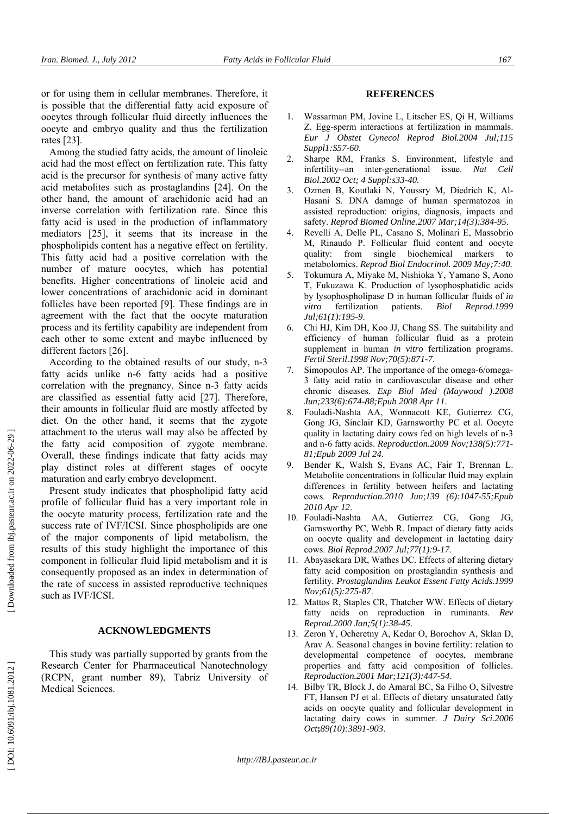or for using them in cellular membranes. Therefore, it is possible that the differential fatty acid exposure of oocytes through follicular fluid directly influences the oocyte and embryo quality and thus the fertilization rates [23].

Among the studied fatty acids, the amount of linoleic acid had the most effect on fertilization rate. This fatty acid is the precursor for synthesis of many active fatty acid metabolites such as prostaglandins [24]. On the other hand, the amount of arachidonic acid had an inverse correlation with fertilization rate. Since this fatty acid is used in the production of inflammatory mediators [25], it seems that its increase in the phospholipids content has a negative effect on fertility. This fatty acid had a positive correlation with the number of mature oocytes, which has potential benefits. Higher concentrations of linoleic acid and lower concentrations of arachidonic acid in dominant follicles have been reported [9]. These findings are in agreement with the fact that the oocyte maturation process and its fertility capability are independent from each other to some extent and maybe influenced by different factors [26].

According to the obtained results of our study, n-3 fatty acids unlike n-6 fatty acids had a positive correlation with the pregnancy. Since n-3 fatty acids are classified as essential fatty acid [27]. Therefore, their amounts in follicular fluid are mostly affected by diet. On the other hand, it seems that the zygote attachment to the uterus wall may also be affected by the fatty acid composition of zygote membrane. Overall, these findings indicate that fatty acids may play distinct roles at different stages of oocyte maturation and early embryo development.

Present study indicates that phospholipid fatty acid profile of follicular fluid has a very important role in the oocyte maturity process, fertilization rate and the success rate of IVF/ICSI. Since phospholipids are one of the major components of lipid metabolism, the results of this study highlight the importance of this component in follicular fluid lipid metabolism and it is consequently proposed as an index in determination of the rate of success in assisted reproductive techniques such as IVF/ICSI.

#### **ACKNOWLEDGMENTS**

This study was partially supported by grants from the Research Center for Pharmaceutical Nanotechnology (RCPN, grant number 89), Tabriz University of Medical Sciences.

## **REFERENCES**

- 1. Wassarman PM, Jovine L, Litscher ES, Qi H, Williams Z. Egg-sperm interactions at fertilization in mammals. *Eur J Obstet Gynecol Reprod Biol.2004 Jul;115 Suppl1:S57-60.*
- 2. Sharpe RM, Franks S. Environment, lifestyle and infertility--an inter-generational issue. *Nat Cell Biol.2002 Oct; 4 Suppl:s33-40.*
- 3. Ozmen B, Koutlaki N, Youssry M, Diedrich K, Al-Hasani S. DNA damage of human spermatozoa in assisted reproduction: origins, diagnosis, impacts and safety. *Reprod Biomed Online.2007 Mar;14(3):384-95*.
- 4. Revelli A, Delle PL, Casano S, Molinari E, Massobrio M, Rinaudo P. Follicular fluid content and oocyte quality: from single biochemical markers to metabolomics. *Reprod Biol Endocrinol. 2009 May;7:40.*
- 5. Tokumura A, Miyake M, Nishioka Y, Yamano S, Aono T, Fukuzawa K. Production of lysophosphatidic acids by lysophospholipase D in human follicular fluids of *in vitro* fertilization patients. *Biol Reprod.1999 Jul;61(1):195-9*.
- 6. Chi HJ, Kim DH, Koo JJ, Chang SS. The suitability and efficiency of human follicular fluid as a protein supplement in human *in vitro* fertilization programs. *Fertil Steril.1998 Nov;70(5):871-7*.
- 7. Simopoulos AP. The importance of the omega-6/omega-3 fatty acid ratio in cardiovascular disease and other chronic diseases. *Exp Biol Med (Maywood ).2008 Jun;233(6):674-88;Epub 2008 Apr 11*.
- 8. Fouladi-Nashta AA, Wonnacott KE, Gutierrez CG, Gong JG, Sinclair KD, Garnsworthy PC et al. Oocyte quality in lactating dairy cows fed on high levels of n-3 and n-6 fatty acids. *Reproduction.2009 Nov;138(5):771- 81;Epub 2009 Jul 24*.
- 9. Bender K, Walsh S, Evans AC, Fair T, Brennan L. Metabolite concentrations in follicular fluid may explain differences in fertility between heifers and lactating cows. *Reproduction.2010 Jun* ;*139 (6):1047-55;Epub 2010 Apr 12*.
- 10. Fouladi-Nashta AA, Gutierrez CG, Gong JG, Garnsworthy PC, Webb R. Impact of dietary fatty acids on oocyte quality and development in lactating dairy cows. *Biol Reprod.2007 Jul;77(1):9-17*.
- 11. Abayasekara DR, Wathes DC. Effects of altering dietary fatty acid composition on prostaglandin synthesis and fertility. *Prostaglandins Leukot Essent Fatty Acids.1999 Nov;61(5):275-87*.
- 12. Mattos R, Staples CR, Thatcher WW. Effects of dietary fatty acids on reproduction in ruminants. *Rev Reprod.2000 Jan;5(1):38-45*.
- 13. Zeron Y, Ocheretny A, Kedar O, Borochov A, Sklan D, Arav A. Seasonal changes in bovine fertility: relation to developmental competence of oocytes, membrane properties and fatty acid composition of follicles. *Reproduction.2001 Mar;121(3):447-54*.
- 14. Bilby TR, Block J, do Amaral BC, Sa Filho O, Silvestre FT, Hansen PJ et al. Effects of dietary unsaturated fatty acids on oocyte quality and follicular development in lactating dairy cows in summer. *J Dairy Sci.2006 Oct* **;***89(10):3891-903*.